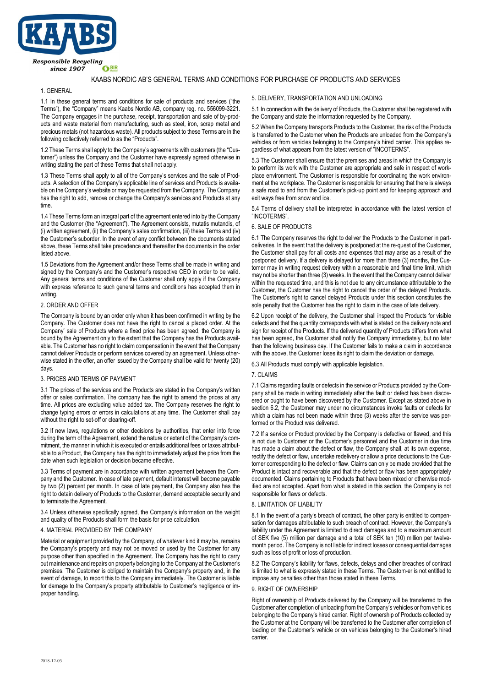

# KAABS NORDIC AB'S GENERAL TERMS AND CONDITIONS FOR PURCHASE OF PRODUCTS AND SERVICES

## 1. GENERAL

1.1 In these general terms and conditions for sale of products and services ("the Terms"), the "Company" means Kaabs Nordic AB, company reg. no. 556099-3221. The Company engages in the purchase, receipt, transportation and sale of by-products and waste material from manufacturing, such as steel, iron, scrap metal and precious metals (not hazardous waste). All products subject to these Terms are in the following collectively referred to as the "Products".

1.2 These Terms shall apply to the Company's agreements with customers (the "Customer") unless the Company and the Customer have expressly agreed otherwise in writing stating the part of these Terms that shall not apply.

1.3 These Terms shall apply to all of the Company's services and the sale of Products. A selection of the Company's applicable line of services and Products is available on the Company's website or may be requested from the Company. The Company has the right to add, remove or change the Company's services and Products at any time.

1.4 These Terms form an integral part of the agreement entered into by the Company and the Customer (the "Agreement"). The Agreement consists, mutatis mutandis, of (i) written agreement, (ii) the Company's sales confirmation, (iii) these Terms and (iv) the Customer's suborder. In the event of any conflict between the documents stated above, these Terms shall take precedence and thereafter the documents in the order listed above.

1.5 Deviations from the Agreement and/or these Terms shall be made in writing and signed by the Company's and the Customer's respective CEO in order to be valid. Any general terms and conditions of the Customer shall only apply if the Company with express reference to such general terms and conditions has accepted them in writing.

#### 2. ORDER AND OFFER

The Company is bound by an order only when it has been confirmed in writing by the Company. The Customer does not have the right to cancel a placed order. At the Company' sale of Products where a fixed price has been agreed, the Company is bound by the Agreement only to the extent that the Company has the Products available. The Customer has no right to claim compensation in the event that the Company cannot deliver Products or perform services covered by an agreement. Unless otherwise stated in the offer, an offer issued by the Company shall be valid for twenty (20) days.

### 3. PRICES AND TERMS OF PAYMENT

3.1 The prices of the services and the Products are stated in the Company's written offer or sales confirmation. The company has the right to amend the prices at any time. All prices are excluding value added tax. The Company reserves the right to change typing errors or errors in calculations at any time. The Customer shall pay without the right to set-off or clearing-off.

3.2 If new laws, regulations or other decisions by authorities, that enter into force during the term of the Agreement, extend the nature or extent of the Company's commitment, the manner in which it is executed or entails additional fees or taxes attributable to a Product, the Company has the right to immediately adjust the price from the date when such legislation or decision became effective.

3.3 Terms of payment are in accordance with written agreement between the Company and the Customer. In case of late payment, default interest will become payable by two (2) percent per month. In case of late payment, the Company also has the right to detain delivery of Products to the Customer, demand acceptable security and to terminate the Agreement.

3.4 Unless otherwise specifically agreed, the Company's information on the weight and quality of the Products shall form the basis for price calculation.

#### 4. MATERIAL PROVIDED BY THE COMPANY

Material or equipment provided by the Company, of whatever kind it may be, remains the Company's property and may not be moved or used by the Customer for any purpose other than specified in the Agreement. The Company has the right to carry out maintenance and repairs on property belonging to the Company at the Customer's premises. The Customer is obliged to maintain the Company's property and, in the event of damage, to report this to the Company immediately. The Customer is liable for damage to the Company's property attributable to Customer's negligence or improper handling.

#### 5. DELIVERY, TRANSPORTATION AND UNLOADING

5.1 In connection with the delivery of Products, the Customer shall be registered with the Company and state the information requested by the Company.

5.2 When the Company transports Products to the Customer, the risk of the Products is transferred to the Customer when the Products are unloaded from the Company's vehicles or from vehicles belonging to the Company's hired carrier. This applies regardless of what appears from the latest version of "INCOTERMS".

5.3 The Customer shall ensure that the premises and areas in which the Company is to perform its work with the Customer are appropriate and safe in respect of workplace environment. The Customer is responsible for coordinating the work environment at the workplace. The Customer is responsible for ensuring that there is always a safe road to and from the Customer's pick-up point and for keeping approach and exit ways free from snow and ice.

5.4 Terms of delivery shall be interpreted in accordance with the latest version of "INCOTERMS".

#### 6. SALE OF PRODUCTS

6.1 The Company reserves the right to deliver the Products to the Customer in partdeliveries. In the event that the delivery is postponed at the re-quest of the Customer, the Customer shall pay for all costs and expenses that may arise as a result of the postponed delivery. If a delivery is delayed for more than three (3) months, the Customer may in writing request delivery within a reasonable and final time limit, which may not be shorter than three (3) weeks. In the event that the Company cannot deliver within the requested time, and this is not due to any circumstance attributable to the Customer, the Customer has the right to cancel the order of the delayed Products. The Customer's right to cancel delayed Products under this section constitutes the sole penalty that the Customer has the right to claim in the case of late delivery.

6.2 Upon receipt of the delivery, the Customer shall inspect the Products for visible defects and that the quantity corresponds with what is stated on the delivery note and sign for receipt of the Products. If the delivered quantity of Products differs from what has been agreed, the Customer shall notify the Company immediately, but no later than the following business day. If the Customer fails to make a claim in accordance with the above, the Customer loses its right to claim the deviation or damage.

6.3 All Products must comply with applicable legislation.

#### 7. CLAIMS

7.1 Claims regarding faults or defects in the service or Products provided by the Company shall be made in writing immediately after the fault or defect has been discovered or ought to have been discovered by the Customer. Except as stated above in section 6.2, the Customer may under no circumstances invoke faults or defects for which a claim has not been made within three (3) weeks after the service was performed or the Product was delivered.

7.2 If a service or Product provided by the Company is defective or flawed, and this is not due to Customer or the Customer's personnel and the Customer in due time has made a claim about the defect or flaw, the Company shall, at its own expense, rectify the defect or flaw, undertake redelivery or allow a price deductions to the Customer corresponding to the defect or flaw. Claims can only be made provided that the Product is intact and recoverable and that the defect or flaw has been appropriately documented. Claims pertaining to Products that have been mixed or otherwise modified are not accepted. Apart from what is stated in this section, the Company is not responsible for flaws or defects.

#### 8. LIMITATION OF LIABILITY

8.1 In the event of a party's breach of contract, the other party is entitled to compensation for damages attributable to such breach of contract. However, the Company's liability under the Agreement is limited to direct damages and to a maximum amount of SEK five (5) million per damage and a total of SEK ten (10) million per twelvemonth period. The Company is not liable for indirect losses or consequential damages such as loss of profit or loss of production.

8.2 The Company's liability for flaws, defects, delays and other breaches of contract is limited to what is expressly stated in these Terms. The Custom-er is not entitled to impose any penalties other than those stated in these Terms.

#### 9. RIGHT OF OWNERSHIP

Right of ownership of Products delivered by the Company will be transferred to the Customer after completion of unloading from the Company's vehicles or from vehicles belonging to the Company's hired carrier. Right of ownership of Products collected by the Customer at the Company will be transferred to the Customer after completion of loading on the Customer's vehicle or on vehicles belonging to the Customer's hired carrier.